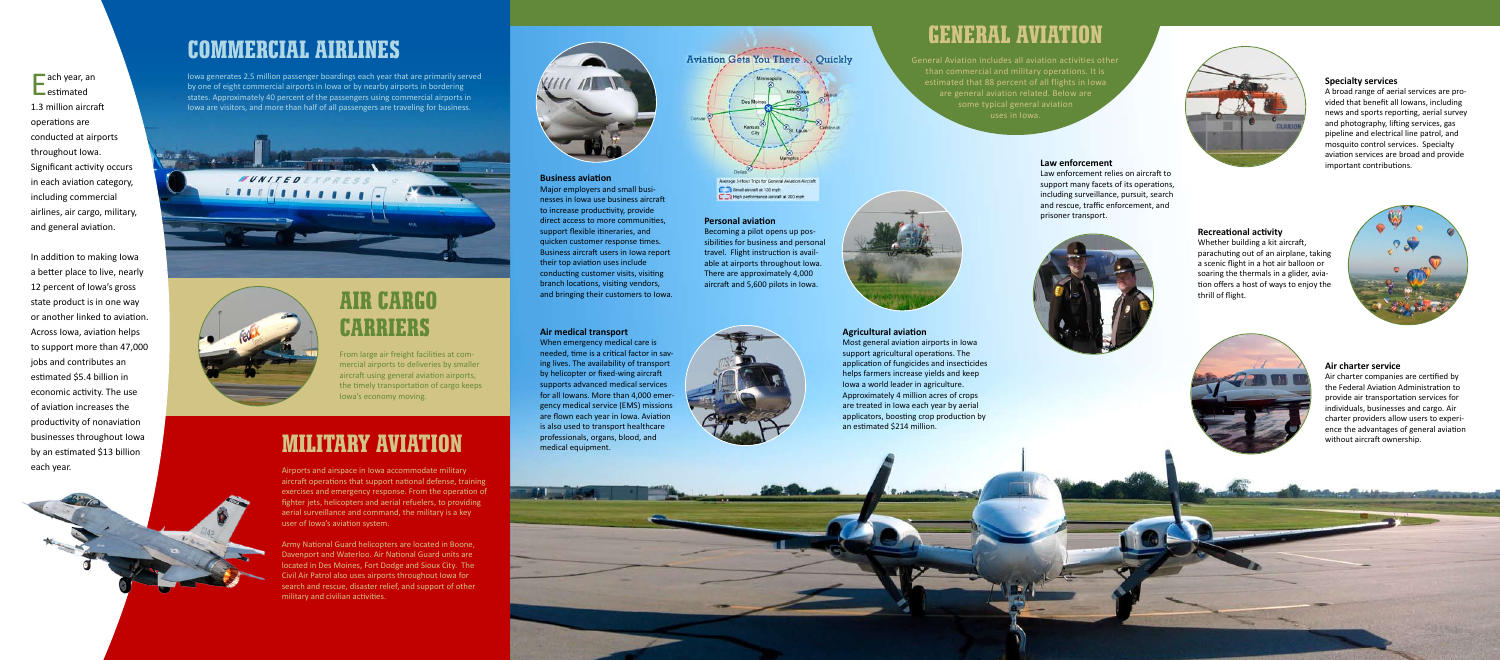### **Agricultural aviation**

Most general aviation airports in Iowa support agricultural operations. The application of fungicides and insecticides helps farmers increase yields and keep Iowa a world leader in agriculture. Approximately 4 million acres of crops are treated in Iowa each year by aerial applicators, boosting crop production by an estimated \$214 million.

#### **Air medical transport**

When emergency medical care is needed, time is a critical factor in saving lives. The availability of transport by helicopter or fixed-wing aircraft supports advanced medical services for all Iowans. More than 4,000 emergency medical service (EMS) missions are flown each year in Iowa. Aviation is also used to transport healthcare professionals, organs, blood, and medical equipment.





Average 3-Hour Trips for General Aviation Aircraft Small aircraft at 130 mph.<br>
English performance aircraft at 200 mph

### **Law enforcement**

Law enforcement relies on aircraft to support many facets of its operations, including surveillance, pursuit, search and rescue, traffic enforcement, and prisoner transport.



#### **Air charter service**

Air charter companies are certified by the Federal Aviation Administration to provide air transportation services for individuals, businesses and cargo. Air charter providers allow users to experience the advantages of general aviation without aircraft ownership.

**CONTRACTOR IN THE REAL PROPERTY AND** 

### **Specialty services**

A broad range of aerial services are provided that benefit all Iowans, including news and sports reporting, aerial survey and photography, lifting services, gas pipeline and electrical line patrol, and mosquito control services. Specialty aviation services are broad and provide important contributions.

**Recreational activity**

Whether building a kit aircraft, parachuting out of an airplane, taking a scenic flight in a hot air balloon or soaring the thermals in a glider, aviation offers a host of ways to enjoy the thrill of flight.





### **Business aviation**

ach year, an  $-$ estimated 1.3 million aircraft operations are conducted at airports throughout Iowa. Significant activity occurs in each aviation category, including commercial airlines, air cargo, military, and general aviation.

Major employers and small businesses in Iowa use business aircraft to increase productivity, provide direct access to more communities, support flexible itineraries, and quicken customer response times. Business aircraft users in Iowa report their top aviation uses include conducting customer visits, visiting branch locations, visiting vendors, and bringing their customers to Iowa.



General Aviation includes all aviation activities other than commercial and military operations. It is estimated that 88 percent of all flights in Iowa are general aviation related. Below are uses in Iowa.



### **General Aviation**

### **Military Aviation**

Airports and airspace in Iowa accommodate military aircraft operations that support national defense, training exercises and emergency response. From the operation of fighter jets, helicopters and aerial refuelers, to providing aerial surveillance and command, the military is a key user of Iowa's aviation system.

Army National Guard helicopters are located in Boone, Davenport and Waterloo. Air National Guard units are located in Des Moines, Fort Dodge and Sioux City. The Civil Air Patrol also uses airports throughout Iowa for search and rescue, disaster relief, and support of other military and civilian activities.



### **Commercial Airlines**

Iowa generates 2.5 million passenger boardings each year that are primarily served by one of eight commercial airports in Iowa or by nearby airports in bordering states. Approximately 40 percent of the passengers using commercial airports in Iowa are visitors, and more than half of all passengers are traveling for business.





### **Air Cargo Carriers**

From large air freight facilities at commercial airports to deliveries by smaller aircraft using general aviation airports, the timely transportation of cargo keeps Iowa's economy moving.

In addition to making Iowa a better place to live, nearly 12 percent of Iowa's gross state product is in one way or another linked to aviation. Across Iowa, aviation helps to support more than 47,000 jobs and contributes an estimated \$5.4 billion in economic activity. The use of aviation increases the productivity of nonaviation businesses throughout Iowa by an estimated \$13 billion each year.



**Personal aviation**

Becoming a pilot opens up possibilities for business and personal travel. Flight instruction is available at airports throughout Iowa. There are approximately 4,000 aircraft and 5,600 pilots in Iowa.